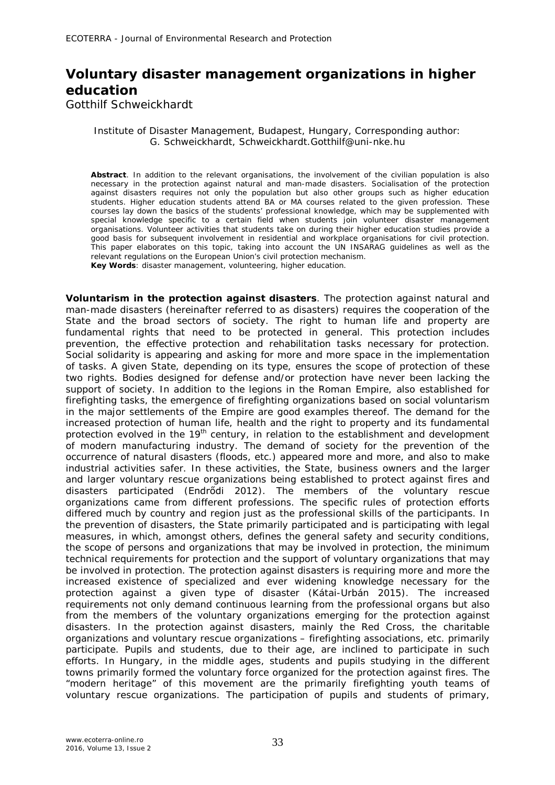## **Voluntary disaster management organizations in higher education**

Gotthilf Schweickhardt

Institute of Disaster Management, Budapest, Hungary, Corresponding author: G. Schweickhardt, Schweickhardt.Gotthilf@uni-nke.hu

**Abstract**. In addition to the relevant organisations, the involvement of the civilian population is also necessary in the protection against natural and man-made disasters. Socialisation of the protection against disasters requires not only the population but also other groups such as higher education students. Higher education students attend BA or MA courses related to the given profession. These courses lay down the basics of the students' professional knowledge, which may be supplemented with special knowledge specific to a certain field when students join volunteer disaster management organisations. Volunteer activities that students take on during their higher education studies provide a good basis for subsequent involvement in residential and workplace organisations for civil protection. This paper elaborates on this topic, taking into account the UN INSARAG guidelines as well as the relevant regulations on the European Union's civil protection mechanism. **Key Words**: disaster management, volunteering, higher education.

**Voluntarism in the protection against disasters**. The protection against natural and man-made disasters (hereinafter referred to as disasters) requires the cooperation of the State and the broad sectors of society. The right to human life and property are fundamental rights that need to be protected in general. This protection includes prevention, the effective protection and rehabilitation tasks necessary for protection. Social solidarity is appearing and asking for more and more space in the implementation of tasks. A given State, depending on its type, ensures the scope of protection of these two rights. Bodies designed for defense and/or protection have never been lacking the support of society. In addition to the legions in the Roman Empire, also established for firefighting tasks, the emergence of firefighting organizations based on social voluntarism in the major settlements of the Empire are good examples thereof. The demand for the increased protection of human life, health and the right to property and its fundamental protection evolved in the 19<sup>th</sup> century, in relation to the establishment and development of modern manufacturing industry. The demand of society for the prevention of the occurrence of natural disasters (floods, etc.) appeared more and more, and also to make industrial activities safer. In these activities, the State, business owners and the larger and larger voluntary rescue organizations being established to protect against fires and disasters participated (Endrődi 2012). The members of the voluntary rescue organizations came from different professions. The specific rules of protection efforts differed much by country and region just as the professional skills of the participants. In the prevention of disasters, the State primarily participated and is participating with legal measures, in which, amongst others, defines the general safety and security conditions, the scope of persons and organizations that may be involved in protection, the minimum technical requirements for protection and the support of voluntary organizations that may be involved in protection. The protection against disasters is requiring more and more the increased existence of specialized and ever widening knowledge necessary for the protection against a given type of disaster (Kátai-Urbán 2015). The increased requirements not only demand continuous learning from the professional organs but also from the members of the voluntary organizations emerging for the protection against disasters. In the protection against disasters, mainly the Red Cross, the charitable organizations and voluntary rescue organizations – firefighting associations, etc. primarily participate. Pupils and students, due to their age, are inclined to participate in such efforts. In Hungary, in the middle ages, students and pupils studying in the different towns primarily formed the voluntary force organized for the protection against fires. The "modern heritage" of this movement are the primarily firefighting youth teams of voluntary rescue organizations. The participation of pupils and students of primary,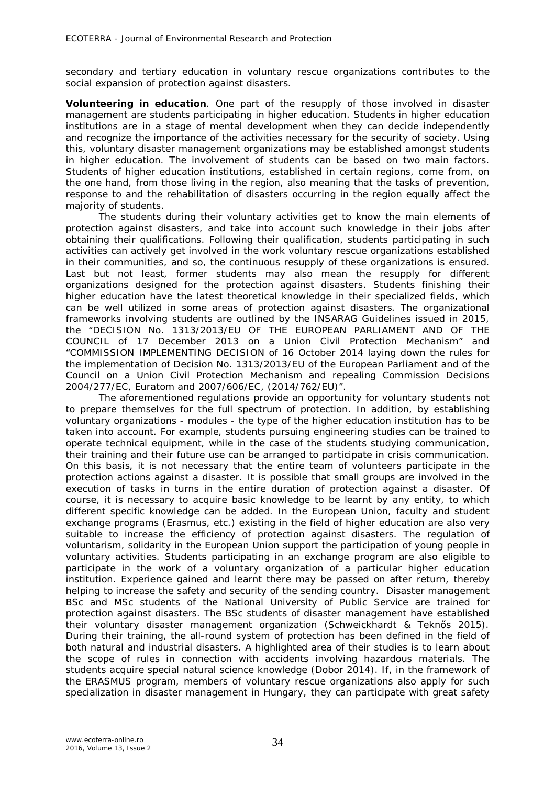secondary and tertiary education in voluntary rescue organizations contributes to the social expansion of protection against disasters.

**Volunteering in education**. One part of the resupply of those involved in disaster management are students participating in higher education. Students in higher education institutions are in a stage of mental development when they can decide independently and recognize the importance of the activities necessary for the security of society. Using this, voluntary disaster management organizations may be established amongst students in higher education. The involvement of students can be based on two main factors. Students of higher education institutions, established in certain regions, come from, on the one hand, from those living in the region, also meaning that the tasks of prevention, response to and the rehabilitation of disasters occurring in the region equally affect the majority of students.

The students during their voluntary activities get to know the main elements of protection against disasters, and take into account such knowledge in their jobs after obtaining their qualifications. Following their qualification, students participating in such activities can actively get involved in the work voluntary rescue organizations established in their communities, and so, the continuous resupply of these organizations is ensured. Last but not least, former students may also mean the resupply for different organizations designed for the protection against disasters. Students finishing their higher education have the latest theoretical knowledge in their specialized fields, which can be well utilized in some areas of protection against disasters. The organizational frameworks involving students are outlined by the INSARAG Guidelines issued in 2015, the "DECISION No. 1313/2013/EU OF THE EUROPEAN PARLIAMENT AND OF THE COUNCIL of 17 December 2013 on a Union Civil Protection Mechanism" and "COMMISSION IMPLEMENTING DECISION of 16 October 2014 laying down the rules for the implementation of Decision No. 1313/2013/EU of the European Parliament and of the Council on a Union Civil Protection Mechanism and repealing Commission Decisions 2004/277/EC, Euratom and 2007/606/EC, (2014/762/EU)".

The aforementioned regulations provide an opportunity for voluntary students not to prepare themselves for the full spectrum of protection. In addition, by establishing voluntary organizations - modules - the type of the higher education institution has to be taken into account. For example, students pursuing engineering studies can be trained to operate technical equipment, while in the case of the students studying communication, their training and their future use can be arranged to participate in crisis communication. On this basis, it is not necessary that the entire team of volunteers participate in the protection actions against a disaster. It is possible that small groups are involved in the execution of tasks in turns in the entire duration of protection against a disaster. Of course, it is necessary to acquire basic knowledge to be learnt by any entity, to which different specific knowledge can be added. In the European Union, faculty and student exchange programs (Erasmus, etc.) existing in the field of higher education are also very suitable to increase the efficiency of protection against disasters. The regulation of voluntarism, solidarity in the European Union support the participation of young people in voluntary activities. Students participating in an exchange program are also eligible to participate in the work of a voluntary organization of a particular higher education institution. Experience gained and learnt there may be passed on after return, thereby helping to increase the safety and security of the sending country. Disaster management BSc and MSc students of the National University of Public Service are trained for protection against disasters. The BSc students of disaster management have established their voluntary disaster management organization (Schweickhardt & Teknős 2015). During their training, the all-round system of protection has been defined in the field of both natural and industrial disasters. A highlighted area of their studies is to learn about the scope of rules in connection with accidents involving hazardous materials. The students acquire special natural science knowledge (Dobor 2014). If, in the framework of the ERASMUS program, members of voluntary rescue organizations also apply for such specialization in disaster management in Hungary, they can participate with great safety